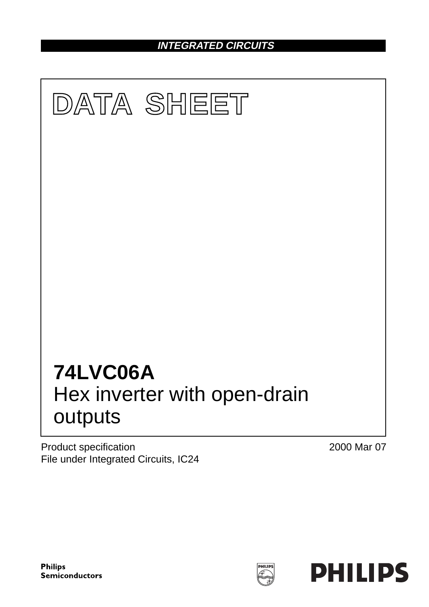**INTEGRATED CIRCUITS**



Product specification File under Integrated Circuits, IC24 2000 Mar 07

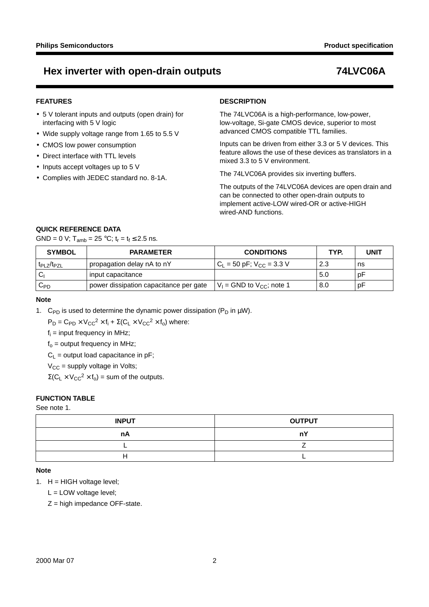### **FEATURES**

- 5 V tolerant inputs and outputs (open drain) for interfacing with 5 V logic
- Wide supply voltage range from 1.65 to 5.5 V
- CMOS low power consumption
- Direct interface with TTL levels
- Inputs accept voltages up to 5 V
- Complies with JEDEC standard no. 8-1A.

#### **DESCRIPTION**

The 74LVC06A is a high-performance, low-power, low-voltage, Si-gate CMOS device, superior to most advanced CMOS compatible TTL families.

Inputs can be driven from either 3.3 or 5 V devices. This feature allows the use of these devices as translators in a mixed 3.3 to 5 V environment.

The 74LVC06A provides six inverting buffers.

The outputs of the 74LVC06A devices are open drain and can be connected to other open-drain outputs to implement active-LOW wired-OR or active-HIGH wired-AND functions.

### **QUICK REFERENCE DATA**

GND = 0 V; T<sub>amb</sub> = 25 °C;  $t_r = t_f \le 2.5$  ns.

| <b>SYMBOL</b>                       | <b>PARAMETER</b>                       | <b>CONDITIONS</b>                 | TYP. | UNIT |
|-------------------------------------|----------------------------------------|-----------------------------------|------|------|
| t <sub>PI 7</sub> /t <sub>P7I</sub> | propagation delay nA to nY             | $C_{L}$ = 50 pF; $V_{CC}$ = 3.3 V | 2.3  | ns   |
|                                     | Input capacitance                      |                                   | 5.0  | рF   |
| $C_{PD}$                            | power dissipation capacitance per gate | $V_1$ = GND to $V_{CC}$ ; note 1  | 8.0  | рF   |

#### **Note**

1. C<sub>PD</sub> is used to determine the dynamic power dissipation (P<sub>D</sub> in  $\mu$ W).

 $P_D = C_{PD} \times V_{CC}^2 \times f_i + \Sigma (C_L \times V_{CC}^2 \times f_o)$  where:

 $f_i$  = input frequency in MHz;

 $f_0$  = output frequency in MHz;

 $C_1$  = output load capacitance in pF;

 $V_{CC}$  = supply voltage in Volts;

 $\Sigma$ (C<sub>L</sub> × V<sub>CC</sub><sup>2</sup> × f<sub>o</sub>) = sum of the outputs.

### **FUNCTION TABLE**

See note 1.

| <b>INPUT</b> | <b>OUTPUT</b> |
|--------------|---------------|
| nA           | <b>nY</b>     |
|              |               |
|              |               |

#### **Note**

1.  $H = HIGH$  voltage level;

L = LOW voltage level;

 $Z =$  high impedance OFF-state.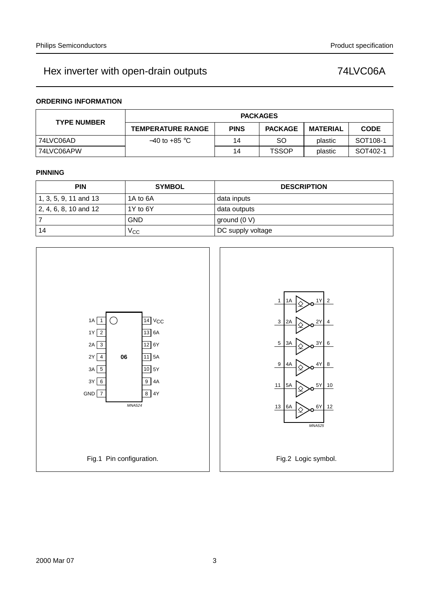### **ORDERING INFORMATION**

| <b>TYPE NUMBER</b> | <b>PACKAGES</b>          |             |                |          |                      |  |  |
|--------------------|--------------------------|-------------|----------------|----------|----------------------|--|--|
|                    | <b>TEMPERATURE RANGE</b> | <b>PINS</b> | <b>PACKAGE</b> | MATERIAL | <b>CODE</b>          |  |  |
| 74LVC06AD          | $-40$ to +85 °C $\,$     | 14          | SO             | plastic  | SOT <sub>108-1</sub> |  |  |
| 74LVC06APW         |                          | 14          | <b>TSSOP</b>   | plastic  | SOT402-1             |  |  |

#### **PINNING**

| <b>PIN</b>            | <b>SYMBOL</b> | <b>DESCRIPTION</b> |
|-----------------------|---------------|--------------------|
| 1, 3, 5, 9, 11 and 13 | 1A to 6A      | data inputs        |
| 2, 4, 6, 8, 10 and 12 | 1Y to 6Y      | data outputs       |
|                       | GND           | ground (0 V)       |
| 14                    | Vcc           | DC supply voltage  |

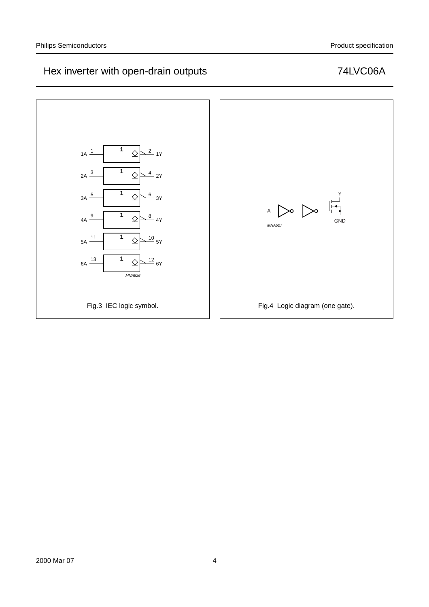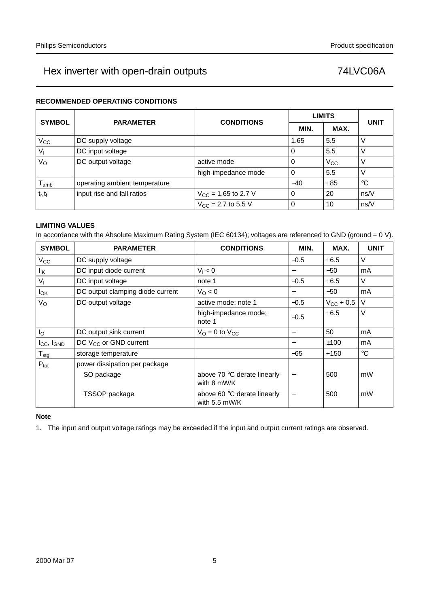### **RECOMMENDED OPERATING CONDITIONS**

| <b>SYMBOL</b>    | <b>PARAMETER</b>              | <b>CONDITIONS</b>        |          | <b>LIMITS</b> | <b>UNIT</b> |
|------------------|-------------------------------|--------------------------|----------|---------------|-------------|
|                  |                               |                          | MIN.     | MAX.          |             |
| $V_{\rm CC}$     | DC supply voltage             |                          | 1.65     | 5.5           | ν           |
| $V_{1}$          | DC input voltage              |                          | 0        | 5.5           | ν           |
| $V_{\rm O}$      | DC output voltage             | active mode              | 0        | $V_{\rm CC}$  | ν           |
|                  |                               | high-impedance mode      | $\Omega$ | 5.5           | ν           |
| l <sub>amb</sub> | operating ambient temperature |                          | $-40$    | $+85$         | $^{\circ}C$ |
| $t_r, t_f$       | input rise and fall ratios    | $V_{CC}$ = 1.65 to 2.7 V | $\Omega$ | 20            | ns/V        |
|                  |                               | $V_{CC}$ = 2.7 to 5.5 V  | $\Omega$ | 10            | ns/V        |

### **LIMITING VALUES**

In accordance with the Absolute Maximum Rating System (IEC 60134); voltages are referenced to GND (ground = 0 V).

| <b>SYMBOL</b>        | <b>PARAMETER</b>                 | <b>CONDITIONS</b>                            | MIN.                     | MAX.                  | <b>UNIT</b> |
|----------------------|----------------------------------|----------------------------------------------|--------------------------|-----------------------|-------------|
| $V_{\rm CC}$         | DC supply voltage                |                                              | $-0.5$                   | $+6.5$                | V           |
| Ιıκ                  | DC input diode current           | $V_1 < 0$                                    |                          | $-50$                 | mA          |
| $V_{I}$              | DC input voltage                 | note 1                                       | $-0.5$                   | $+6.5$                | V           |
| $I_{OK}$             | DC output clamping diode current | $V_{\Omega}$ < 0                             | $\qquad \qquad$          | $-50$                 | mA          |
| $V_{\rm O}$          | DC output voltage                | active mode; note 1                          | $-0.5$                   | $V_{\text{CC}}$ + 0.5 | V           |
|                      |                                  | high-impedance mode;<br>note 1               | $-0.5$                   | $+6.5$                | $\vee$      |
| $I_{\rm O}$          | DC output sink current           | $V_{\Omega} = 0$ to $V_{\Omega}$             |                          | 50                    | mA          |
| $I_{CC}$ , $I_{GND}$ | DC $V_{CC}$ or GND current       |                                              |                          | ±100                  | mA          |
| $T_{\text{stg}}$     | storage temperature              |                                              | $-65$                    | $+150$                | $^{\circ}C$ |
| $P_{\text{tot}}$     | power dissipation per package    |                                              |                          |                       |             |
|                      | SO package                       | above 70 °C derate linearly<br>with 8 mW/K   | $\overline{\phantom{0}}$ | 500                   | mW          |
|                      | TSSOP package                    | above 60 °C derate linearly<br>with 5.5 mW/K |                          | 500                   | mW          |

**Note**

1. The input and output voltage ratings may be exceeded if the input and output current ratings are observed.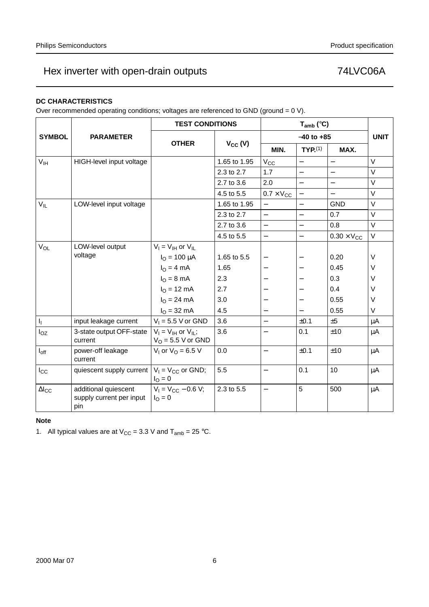### **DC CHARACTERISTICS**

Over recommended operating conditions; voltages are referenced to GND (ground = 0 V).

|                        |                                                         | <b>TEST CONDITIONS</b>                              |              |                          | $T_{amb}$ (°C)           |                          |             |
|------------------------|---------------------------------------------------------|-----------------------------------------------------|--------------|--------------------------|--------------------------|--------------------------|-------------|
| <b>SYMBOL</b>          | <b>PARAMETER</b>                                        |                                                     |              |                          | $-40$ to $+85$           |                          | <b>UNIT</b> |
|                        |                                                         | <b>OTHER</b>                                        | $V_{CC} (V)$ | MIN.                     | TYP <sub>1</sub> (1)     | MAX.                     |             |
| V <sub>IH</sub>        | HIGH-level input voltage                                |                                                     | 1.65 to 1.95 | $V_{CC}$                 |                          | $\qquad \qquad -$        | $\vee$      |
|                        |                                                         |                                                     | 2.3 to 2.7   | 1.7                      |                          | $\overline{\phantom{0}}$ | $\vee$      |
|                        |                                                         |                                                     | 2.7 to 3.6   | 2.0                      | $\equiv$                 | $\overline{\phantom{0}}$ | V           |
|                        |                                                         |                                                     | 4.5 to 5.5   | $0.7 \times V_{CC}$      | $\overline{\phantom{0}}$ | $\qquad \qquad -$        | $\vee$      |
| $V_{IL}$               | LOW-level input voltage                                 |                                                     | 1.65 to 1.95 | $\overline{\phantom{0}}$ | $\qquad \qquad -$        | <b>GND</b>               | $\vee$      |
|                        |                                                         |                                                     | 2.3 to 2.7   | $\equiv$                 | $\equiv$                 | 0.7                      | $\vee$      |
|                        |                                                         |                                                     | 2.7 to 3.6   | $\equiv$                 | $\overline{\phantom{0}}$ | 0.8                      | V           |
|                        |                                                         |                                                     | 4.5 to 5.5   | $\overline{\phantom{0}}$ | $\overline{\phantom{0}}$ | $0.30 \times V_{CC}$     | $\vee$      |
| $V_{OL}$               | LOW-level output                                        | $V_I = V_{IH}$ or $V_{IL}$                          |              |                          |                          |                          |             |
|                        | voltage                                                 | $I_{\text{O}} = 100 \mu A$                          | 1.65 to 5.5  |                          |                          | 0.20                     | $\vee$      |
|                        |                                                         | $IO = 4 mA$                                         | 1.65         |                          |                          | 0.45                     | V           |
|                        |                                                         | $IO = 8 mA$                                         | 2.3          |                          |                          | 0.3                      | $\vee$      |
|                        |                                                         | $I_{O} = 12 \text{ mA}$                             | 2.7          |                          |                          | 0.4                      | $\vee$      |
|                        |                                                         | $I_{\Omega} = 24 \text{ mA}$                        | 3.0          |                          |                          | 0.55                     | $\vee$      |
|                        |                                                         | $IO$ = 32 mA                                        | 4.5          |                          |                          | 0.55                     | V           |
| $I_{\rm I}$            | input leakage current                                   | $V_1 = 5.5$ V or GND                                | 3.6          | $\equiv$                 | ±0.1                     | ±5                       | $\mu$ A     |
| $I_{OZ}$               | 3-state output OFF-state<br>current                     | $V_1 = V_{1H}$ or $V_{1L}$ ;<br>$VO$ = 5.5 V or GND | 3.6          |                          | 0.1                      | ±10                      | μA          |
| $I_{off}$              | power-off leakage<br>current                            | $V_1$ or $V_0 = 6.5$ V                              | 0.0          | $\qquad \qquad -$        | ±0.1                     | ±10                      | $\mu$ A     |
| $I_{\rm CC}$           | quiescent supply current                                | $V_1 = V_{CC}$ or GND;<br>$I_{\rm O} = 0$           | 5.5          | $\overline{\phantom{0}}$ | 0.1                      | 10                       | $\mu$ A     |
| $\Delta$ <sub>cc</sub> | additional quiescent<br>supply current per input<br>pin | $V_1 = V_{CC} - 0.6 V$ ;<br>$I_{\Omega} = 0$        | 2.3 to 5.5   | $\qquad \qquad -$        | 5                        | 500                      | $\mu$ A     |

#### **Note**

1. All typical values are at  $V_{CC} = 3.3$  V and  $T_{amb} = 25$  °C.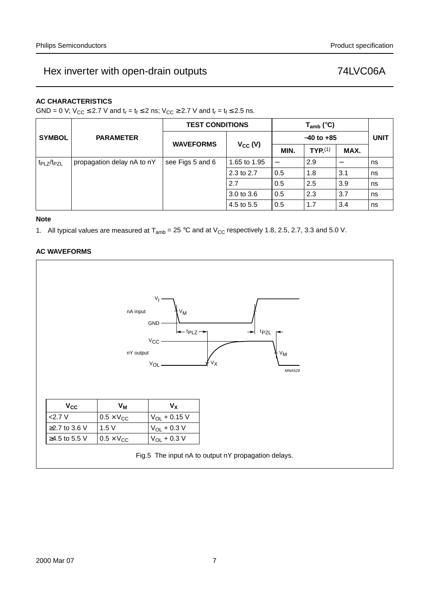### **AC CHARACTERISTICS**

GND = 0 V;  $V_{CC} \le 2.7$  V and  $t_r = t_f \le 2$  ns;  $V_{CC} \ge 2.7$  V and  $t_r = t_f \le 2.5$  ns.

|                                    |                            |                  | <b>TEST CONDITIONS</b> |                          | $T_{amb}$ (°C)       |                          |             |
|------------------------------------|----------------------------|------------------|------------------------|--------------------------|----------------------|--------------------------|-------------|
| <b>SYMBOL</b>                      | <b>PARAMETER</b>           | <b>WAVEFORMS</b> |                        | $-40$ to $+85$           |                      |                          | <b>UNIT</b> |
|                                    |                            |                  | $V_{CC} (V)$           | MIN.                     | TYP <sub>1</sub> (1) | MAX.                     |             |
| t <sub>PLZ</sub> /t <sub>PZL</sub> | propagation delay nA to nY | see Figs 5 and 6 | 1.65 to 1.95           | $\overline{\phantom{m}}$ | 2.9                  | $\overline{\phantom{m}}$ | ns          |
|                                    |                            |                  | 2.3 to 2.7             | 0.5                      | 1.8                  | 3.1                      | ns          |
|                                    |                            |                  | 2.7                    | 0.5                      | 2.5                  | 3.9                      | ns          |
|                                    |                            |                  | $3.0 \text{ to } 3.6$  | 0.5                      | 2.3                  | 3.7                      | ns          |
|                                    |                            |                  | 4.5 to 5.5             | 0.5                      | 1.7                  | 3.4                      | ns          |

#### **Note**

1. All typical values are measured at  $T_{amb} = 25 \degree C$  and at  $V_{CC}$  respectively 1.8, 2.5, 2.7, 3.3 and 5.0 V.

### **AC WAVEFORMS**

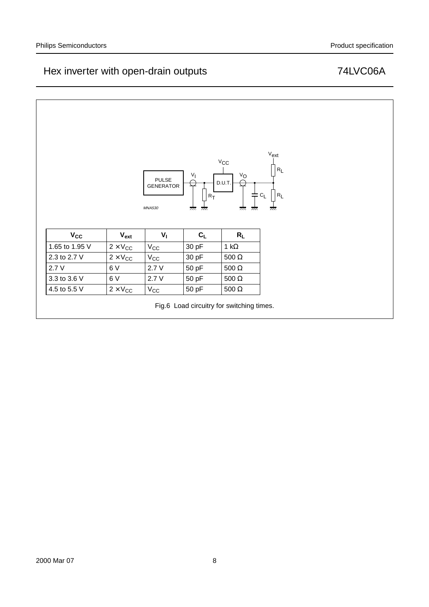# Hex inverter with open-drain outputs **Fig. 148** T4LVC06A

|                            |                                | <b>PULSE</b><br><b>GENERATOR</b> | $V_{\parallel}$                    | $\mathrm{v_{CC}}$<br>$V_{\mathbb{O}}$<br>D.U.T. |
|----------------------------|--------------------------------|----------------------------------|------------------------------------|-------------------------------------------------|
|                            |                                | <b>MNA530</b>                    | $R_{\overline{I}}$<br>777.<br>777. | キcL<br>777.<br>777.                             |
|                            |                                | $V_{\parallel}$                  | $C_L$                              | $R_L$                                           |
| $V_{CC}$<br>1.65 to 1.95 V | $V_{ext}$<br>$2 \times V_{CC}$ | $V_{CC}$                         | 30 pF                              | 1 k $\Omega$                                    |
| 2.3 to 2.7 V               | $2 \times V_{CC}$              | $V_{CC}$                         | 30 pF                              | $500\ \Omega$                                   |
| 2.7V                       | 6V                             | 2.7V                             | 50 pF                              | 500 $\Omega$                                    |
| 3.3 to 3.6 V               | 6V                             | 2.7V                             | 50 pF                              | $500\ \Omega$                                   |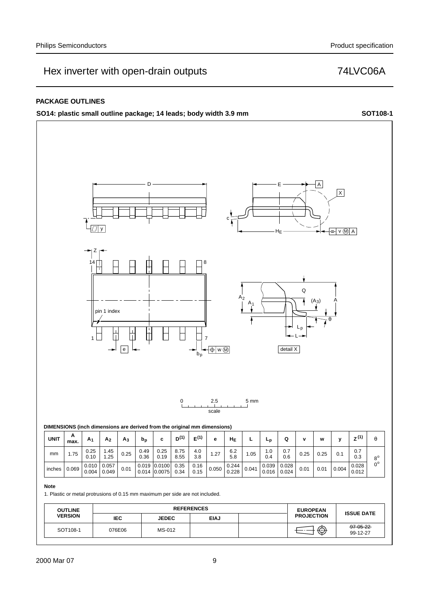### **PACKAGE OUTLINES**

**SO14: plastic small outline package; 14 leads; body width 3.9 mm SOT108-1**

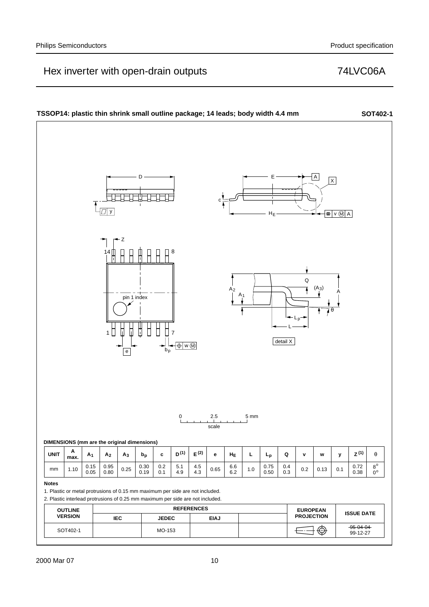#### **TSSOP14: plastic thin shrink small outline package; 14 leads; body width 4.4 mm SOT402-1** D E A  $\overline{\mathsf{x}}$ ⊣⊦ i t c y HE  $=$   $\sqrt{M}$  A Z 14 ∏ ∏ ∏ ∏ ∏ ∏ ∏ 8 Q  $(A_3)$  $A_2$  $A_1$   $A_2$   $A_3$ pin 1 indexθ Lp L 1 || || || || || || || 7 detail X  $\overline{\bigoplus}$  w  $\overline{\bigoplus}$ e 2.5 5 mm scale **DIMENSIONS (mm are the original dimensions) A**  $\mathsf{UNIT} \left[\begin{array}{c|c|c|c|c|c|c|c} \mathsf{A}_3 & \mathsf{A}_2 & \mathsf{A}_3 & \mathsf{b}_\mathsf{p} & \mathsf{c} & \mathsf{D}^{(1)} & \mathsf{E}^{(2)} & \mathsf{e} & \mathsf{H}_{\mathsf{E}} & \mathsf{L} & \mathsf{L}_{\mathsf{p}} & \mathsf{Q} & \mathsf{v} & \mathsf{w} & \mathsf{y} & \mathsf{z}^{(1)} & \mathsf{\theta} \end{array}\right]$ **max.** 0.95 0.30 0.2 0.75 0.4 0.72 5.1  $8^{\circ}$  $mm \mid 1.10 \mid 0.15$  $\begin{array}{|c|c|c|c|}\n 4.5 & 0.65 & 6.6 \\
4.3 & 6.2 & \end{array}$ 0.25 1.0  $\begin{array}{|c|c|c|c|c|c|c|c|c|} \hline 1.0 & 0.7 & 0.7 & 0.2 & 0.13 & 0.1 & 0.38 & 0.08 \ \hline 0.000000 & 0.000000 & 0.1 & 0.38 & 0.08 \ \hline \end{array}$  $0.38$  $0.80$  $4.9$  $6.2$  $0.50$  $0.3$  $0^{\circ}$ 0.05 0.19  $0.1$ **Notes** 1. Plastic or metal protrusions of 0.15 mm maximum per side are not included. 2. Plastic interlead protrusions of 0.25 mm maximum per side are not included. **OUTLINE** REFERENCES **EUROPEAN PROJECTION ISSUE DATE VERSION IEC JEDEC EIAJ** SOT402-1 MO-153 MO-153 SOT402-1  $\overline{3}$ 99-12-27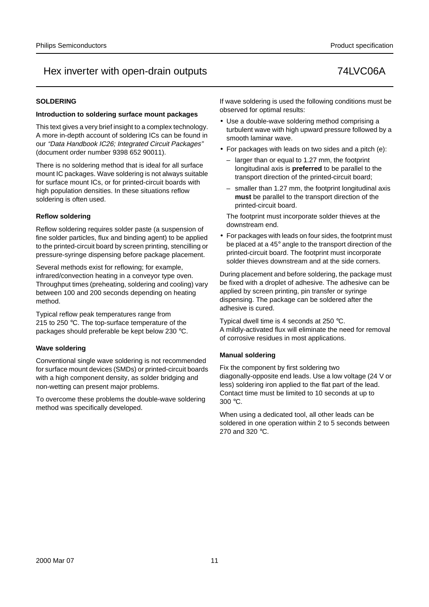### **SOLDERING**

#### **Introduction to soldering surface mount packages**

This text gives a very brief insight to a complex technology. A more in-depth account of soldering ICs can be found in our "Data Handbook IC26; Integrated Circuit Packages" (document order number 9398 652 90011).

There is no soldering method that is ideal for all surface mount IC packages. Wave soldering is not always suitable for surface mount ICs, or for printed-circuit boards with high population densities. In these situations reflow soldering is often used.

### **Reflow soldering**

Reflow soldering requires solder paste (a suspension of fine solder particles, flux and binding agent) to be applied to the printed-circuit board by screen printing, stencilling or pressure-syringe dispensing before package placement.

Several methods exist for reflowing; for example, infrared/convection heating in a conveyor type oven. Throughput times (preheating, soldering and cooling) vary between 100 and 200 seconds depending on heating method.

Typical reflow peak temperatures range from 215 to 250 °C. The top-surface temperature of the packages should preferable be kept below 230 °C.

### **Wave soldering**

Conventional single wave soldering is not recommended for surface mount devices (SMDs) or printed-circuit boards with a high component density, as solder bridging and non-wetting can present major problems.

To overcome these problems the double-wave soldering method was specifically developed.

If wave soldering is used the following conditions must be observed for optimal results:

- Use a double-wave soldering method comprising a turbulent wave with high upward pressure followed by a smooth laminar wave.
- For packages with leads on two sides and a pitch (e):
	- larger than or equal to 1.27 mm, the footprint longitudinal axis is **preferred** to be parallel to the transport direction of the printed-circuit board;
	- smaller than 1.27 mm, the footprint longitudinal axis **must** be parallel to the transport direction of the printed-circuit board.

The footprint must incorporate solder thieves at the downstream end.

• For packages with leads on four sides, the footprint must be placed at a 45° angle to the transport direction of the printed-circuit board. The footprint must incorporate solder thieves downstream and at the side corners.

During placement and before soldering, the package must be fixed with a droplet of adhesive. The adhesive can be applied by screen printing, pin transfer or syringe dispensing. The package can be soldered after the adhesive is cured.

Typical dwell time is 4 seconds at 250 °C. A mildly-activated flux will eliminate the need for removal of corrosive residues in most applications.

### **Manual soldering**

Fix the component by first soldering two diagonally-opposite end leads. Use a low voltage (24 V or less) soldering iron applied to the flat part of the lead. Contact time must be limited to 10 seconds at up to 300 °C.

When using a dedicated tool, all other leads can be soldered in one operation within 2 to 5 seconds between 270 and 320 °C.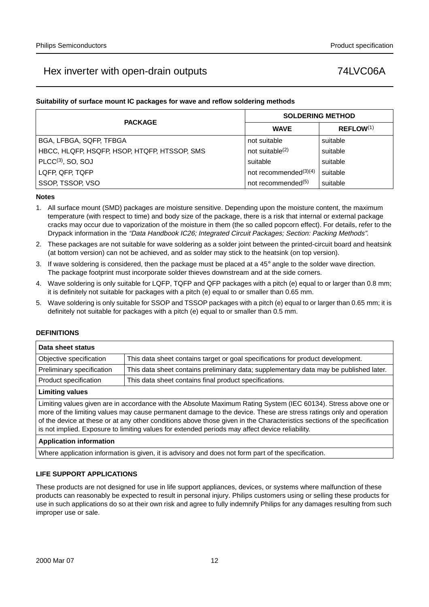### **Suitability of surface mount IC packages for wave and reflow soldering methods**

| <b>PACKAGE</b>                                          |                                | <b>SOLDERING METHOD</b> |
|---------------------------------------------------------|--------------------------------|-------------------------|
|                                                         | <b>WAVE</b>                    | REFLOW <sup>(1)</sup>   |
| BGA, LFBGA, SQFP, TFBGA                                 | not suitable                   | suitable                |
| HBCC, HLQFP, HSQFP, HSOP, HTQFP, HTSSOP, SMS            | not suitable $(2)$             | suitable                |
| $PLCC(3)$ , SO, SOJ                                     | suitable                       | suitable                |
| not recommended $(3)(4)$<br>LQFP, QFP, TQFP<br>suitable |                                |                         |
| SSOP, TSSOP, VSO                                        | not recommended <sup>(5)</sup> | suitable                |

#### **Notes**

- 1. All surface mount (SMD) packages are moisture sensitive. Depending upon the moisture content, the maximum temperature (with respect to time) and body size of the package, there is a risk that internal or external package cracks may occur due to vaporization of the moisture in them (the so called popcorn effect). For details, refer to the Drypack information in the "Data Handbook IC26; Integrated Circuit Packages; Section: Packing Methods".
- 2. These packages are not suitable for wave soldering as a solder joint between the printed-circuit board and heatsink (at bottom version) can not be achieved, and as solder may stick to the heatsink (on top version).
- 3. If wave soldering is considered, then the package must be placed at a  $45^\circ$  angle to the solder wave direction. The package footprint must incorporate solder thieves downstream and at the side corners.
- 4. Wave soldering is only suitable for LQFP, TQFP and QFP packages with a pitch (e) equal to or larger than 0.8 mm; it is definitely not suitable for packages with a pitch (e) equal to or smaller than 0.65 mm.
- 5. Wave soldering is only suitable for SSOP and TSSOP packages with a pitch (e) equal to or larger than 0.65 mm; it is definitely not suitable for packages with a pitch (e) equal to or smaller than 0.5 mm.

#### **DEFINITIONS**

| Data sheet status         |                                                                                       |
|---------------------------|---------------------------------------------------------------------------------------|
| Objective specification   | This data sheet contains target or goal specifications for product development.       |
| Preliminary specification | This data sheet contains preliminary data; supplementary data may be published later. |
| Product specification     | This data sheet contains final product specifications.                                |
| <b>Limiting values</b>    |                                                                                       |
|                           |                                                                                       |

Limiting values given are in accordance with the Absolute Maximum Rating System (IEC 60134). Stress above one or more of the limiting values may cause permanent damage to the device. These are stress ratings only and operation of the device at these or at any other conditions above those given in the Characteristics sections of the specification is not implied. Exposure to limiting values for extended periods may affect device reliability.

#### **Application information**

Where application information is given, it is advisory and does not form part of the specification.

#### **LIFE SUPPORT APPLICATIONS**

These products are not designed for use in life support appliances, devices, or systems where malfunction of these products can reasonably be expected to result in personal injury. Philips customers using or selling these products for use in such applications do so at their own risk and agree to fully indemnify Philips for any damages resulting from such improper use or sale.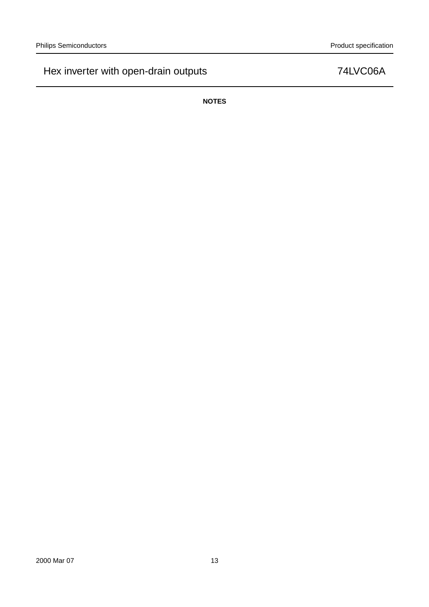**NOTES**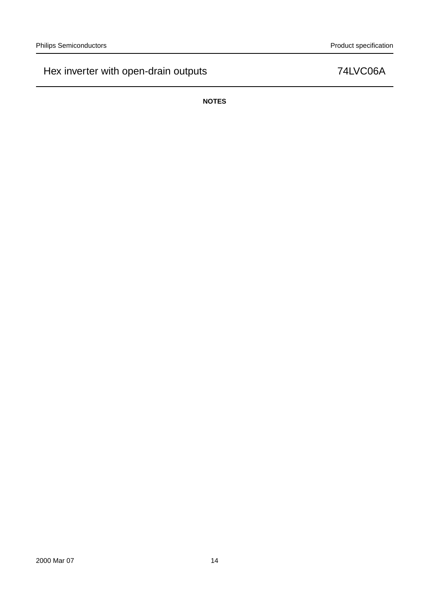**NOTES**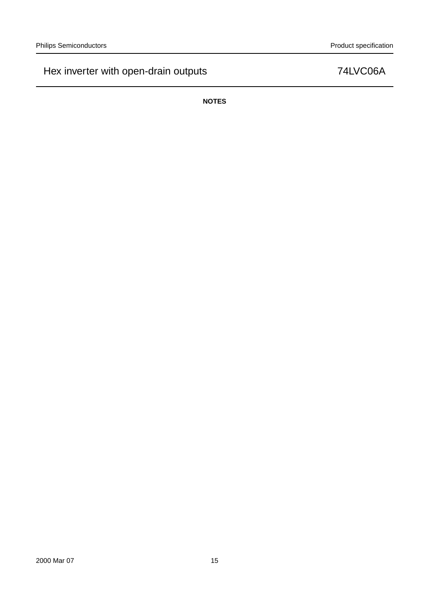**NOTES**